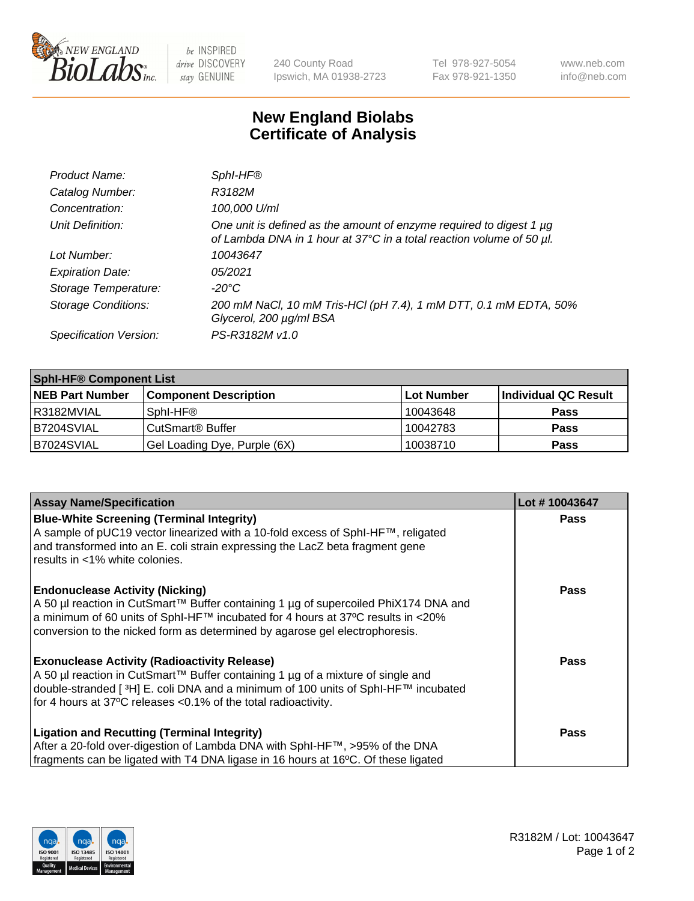

be INSPIRED drive DISCOVERY stay GENUINE

240 County Road Ipswich, MA 01938-2723 Tel 978-927-5054 Fax 978-921-1350 www.neb.com info@neb.com

## **New England Biolabs Certificate of Analysis**

| Product Name:              | Sphl-HF®                                                                                                                                         |
|----------------------------|--------------------------------------------------------------------------------------------------------------------------------------------------|
| Catalog Number:            | R3182M                                                                                                                                           |
| Concentration:             | 100,000 U/ml                                                                                                                                     |
| Unit Definition:           | One unit is defined as the amount of enzyme required to digest 1 $\mu$ g<br>of Lambda DNA in 1 hour at 37°C in a total reaction volume of 50 µl. |
| Lot Number:                | 10043647                                                                                                                                         |
| <b>Expiration Date:</b>    | 05/2021                                                                                                                                          |
| Storage Temperature:       | -20°C                                                                                                                                            |
| <b>Storage Conditions:</b> | 200 mM NaCl, 10 mM Tris-HCl (pH 7.4), 1 mM DTT, 0.1 mM EDTA, 50%<br>Glycerol, 200 µg/ml BSA                                                      |
| Specification Version:     | PS-R3182M v1.0                                                                                                                                   |

| <b>Sphi-HF® Component List</b> |                                    |                   |                      |  |  |
|--------------------------------|------------------------------------|-------------------|----------------------|--|--|
| <b>NEB Part Number</b>         | <b>Component Description</b>       | <b>Lot Number</b> | Individual QC Result |  |  |
| I R3182MVIAL                   | Sphl-HF®                           | 10043648          | <b>Pass</b>          |  |  |
| B7204SVIAL                     | <b>CutSmart<sup>®</sup> Buffer</b> | 10042783          | <b>Pass</b>          |  |  |
| IB7024SVIAL                    | Gel Loading Dye, Purple (6X)       | 10038710          | <b>Pass</b>          |  |  |

| <b>Assay Name/Specification</b>                                                                                                                                                                                                                         | Lot #10043647 |
|---------------------------------------------------------------------------------------------------------------------------------------------------------------------------------------------------------------------------------------------------------|---------------|
| <b>Blue-White Screening (Terminal Integrity)</b><br>A sample of pUC19 vector linearized with a 10-fold excess of SphI-HF™, religated                                                                                                                    | <b>Pass</b>   |
| and transformed into an E. coli strain expressing the LacZ beta fragment gene<br>results in <1% white colonies.                                                                                                                                         |               |
| <b>Endonuclease Activity (Nicking)</b>                                                                                                                                                                                                                  | Pass          |
| A 50 µl reaction in CutSmart™ Buffer containing 1 µg of supercoiled PhiX174 DNA and<br>  a minimum of 60 units of SphI-HF™ incubated for 4 hours at 37°C results in <20%<br>conversion to the nicked form as determined by agarose gel electrophoresis. |               |
| <b>Exonuclease Activity (Radioactivity Release)</b>                                                                                                                                                                                                     | Pass          |
| A 50 µl reaction in CutSmart™ Buffer containing 1 µg of a mixture of single and<br>double-stranded [3H] E. coli DNA and a minimum of 100 units of SphI-HF™ incubated                                                                                    |               |
| for 4 hours at 37°C releases <0.1% of the total radioactivity.                                                                                                                                                                                          |               |
| <b>Ligation and Recutting (Terminal Integrity)</b>                                                                                                                                                                                                      | <b>Pass</b>   |
| After a 20-fold over-digestion of Lambda DNA with SphI-HF™, >95% of the DNA                                                                                                                                                                             |               |
| fragments can be ligated with T4 DNA ligase in 16 hours at 16°C. Of these ligated                                                                                                                                                                       |               |